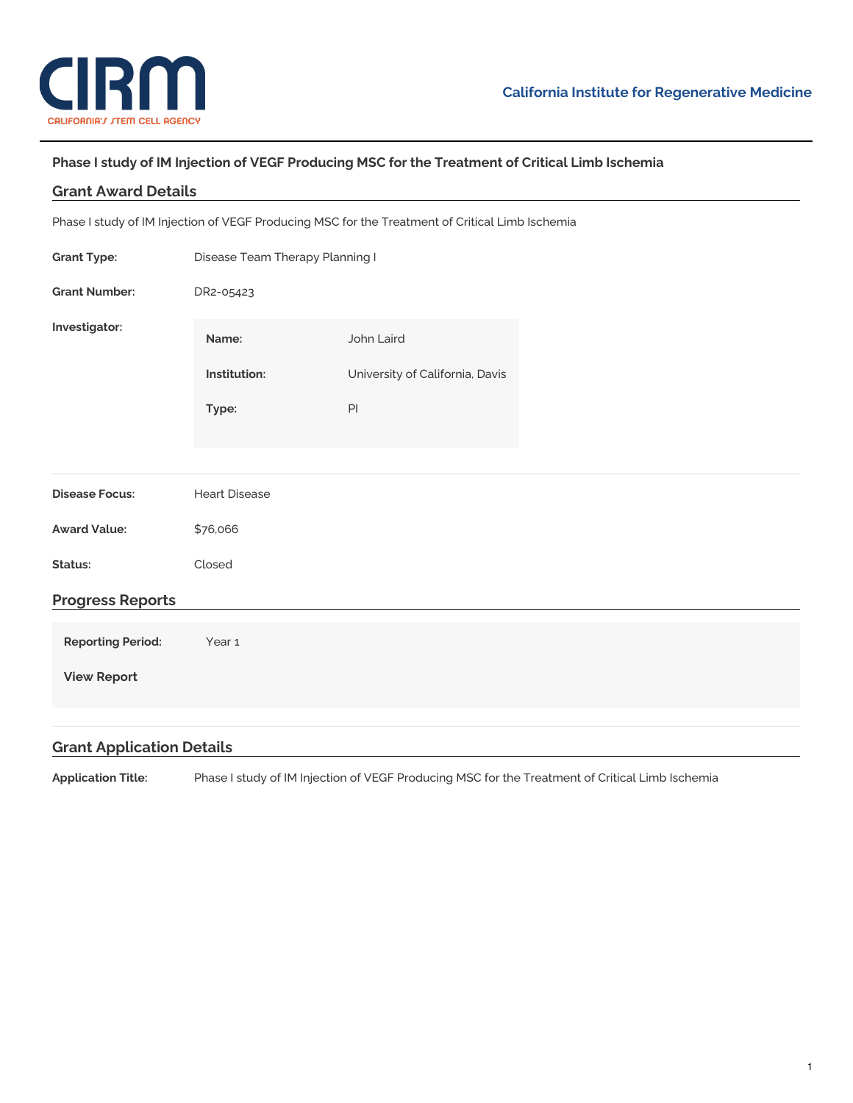

## **Phase I study of IM Injection of VEGF Producing MSC for the Treatment of Critical Limb Ischemia**

| <b>Grant Award Details</b>                                                                      |                                 |                                 |  |
|-------------------------------------------------------------------------------------------------|---------------------------------|---------------------------------|--|
| Phase I study of IM Injection of VEGF Producing MSC for the Treatment of Critical Limb Ischemia |                                 |                                 |  |
| <b>Grant Type:</b>                                                                              | Disease Team Therapy Planning I |                                 |  |
| <b>Grant Number:</b>                                                                            | DR2-05423                       |                                 |  |
| Investigator:                                                                                   | Name:                           | John Laird                      |  |
|                                                                                                 | Institution:                    | University of California, Davis |  |
|                                                                                                 | Type:                           | PI                              |  |
|                                                                                                 |                                 |                                 |  |
| <b>Disease Focus:</b>                                                                           | <b>Heart Disease</b>            |                                 |  |
| <b>Award Value:</b>                                                                             | \$76,066                        |                                 |  |
| Status:                                                                                         | Closed                          |                                 |  |
| <b>Progress Reports</b>                                                                         |                                 |                                 |  |
| <b>Reporting Period:</b>                                                                        | Year 1                          |                                 |  |
| <b>View Report</b>                                                                              |                                 |                                 |  |
|                                                                                                 |                                 |                                 |  |
| <b>Grant Application Details</b>                                                                |                                 |                                 |  |

**Application Title:** Phase I study of IM Injection of VEGF Producing MSC for the Treatment of Critical Limb Ischemia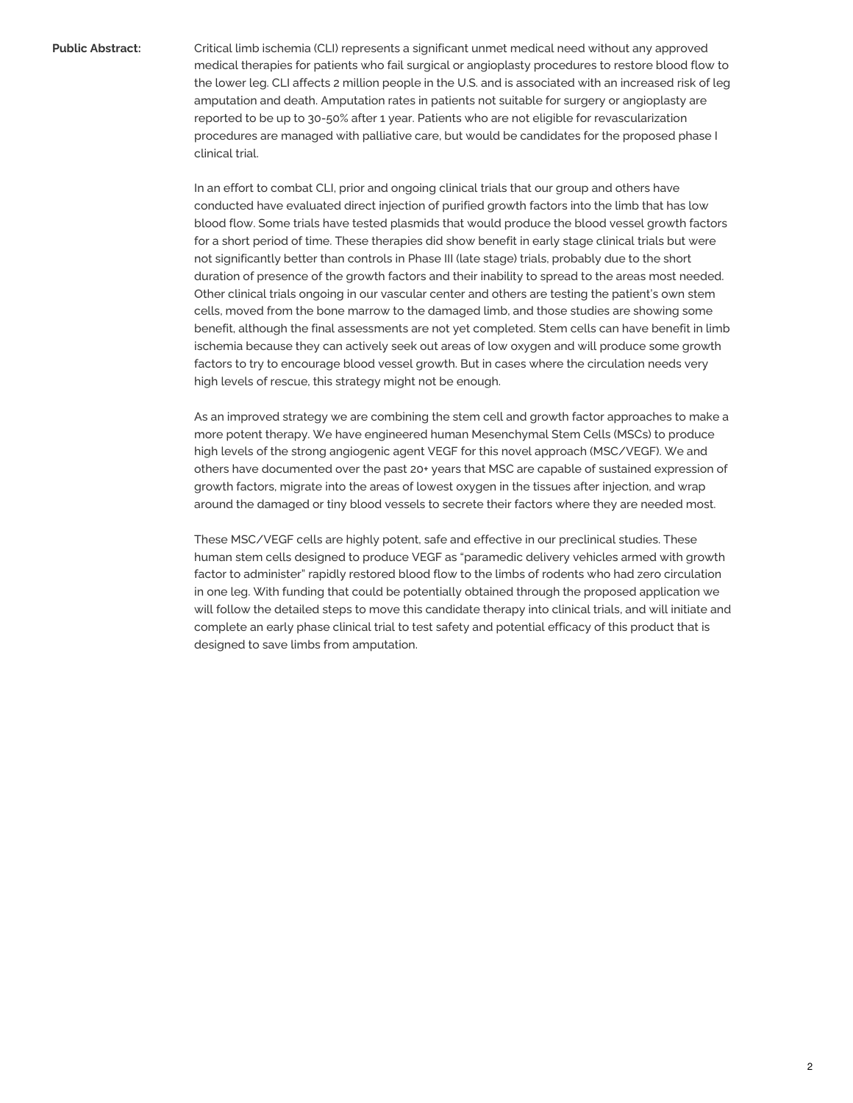**Public Abstract:** Critical limb ischemia (CLI) represents a significant unmet medical need without any approved medical therapies for patients who fail surgical or angioplasty procedures to restore blood flow to the lower leg. CLI affects 2 million people in the U.S. and is associated with an increased risk of leg amputation and death. Amputation rates in patients not suitable for surgery or angioplasty are reported to be up to 30-50% after 1 year. Patients who are not eligible for revascularization procedures are managed with palliative care, but would be candidates for the proposed phase I clinical trial.

> In an effort to combat CLI, prior and ongoing clinical trials that our group and others have conducted have evaluated direct injection of purified growth factors into the limb that has low blood flow. Some trials have tested plasmids that would produce the blood vessel growth factors for a short period of time. These therapies did show benefit in early stage clinical trials but were not significantly better than controls in Phase III (late stage) trials, probably due to the short duration of presence of the growth factors and their inability to spread to the areas most needed. Other clinical trials ongoing in our vascular center and others are testing the patient's own stem cells, moved from the bone marrow to the damaged limb, and those studies are showing some benefit, although the final assessments are not yet completed. Stem cells can have benefit in limb ischemia because they can actively seek out areas of low oxygen and will produce some growth factors to try to encourage blood vessel growth. But in cases where the circulation needs very high levels of rescue, this strategy might not be enough.

> As an improved strategy we are combining the stem cell and growth factor approaches to make a more potent therapy. We have engineered human Mesenchymal Stem Cells (MSCs) to produce high levels of the strong angiogenic agent VEGF for this novel approach (MSC/VEGF). We and others have documented over the past 20+ years that MSC are capable of sustained expression of growth factors, migrate into the areas of lowest oxygen in the tissues after injection, and wrap around the damaged or tiny blood vessels to secrete their factors where they are needed most.

> These MSC/VEGF cells are highly potent, safe and effective in our preclinical studies. These human stem cells designed to produce VEGF as "paramedic delivery vehicles armed with growth factor to administer" rapidly restored blood flow to the limbs of rodents who had zero circulation in one leg. With funding that could be potentially obtained through the proposed application we will follow the detailed steps to move this candidate therapy into clinical trials, and will initiate and complete an early phase clinical trial to test safety and potential efficacy of this product that is designed to save limbs from amputation.